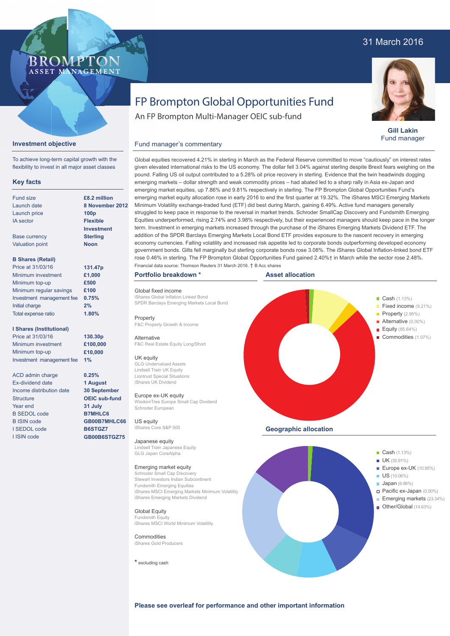## 31 March 2016



**Gill Lakin** Fund manager

# FP Brompton Global Opportunities Fund

An FP Brompton Multi-Manager OEIC sub-fund

### Fund manager's commentary



Price at 31/03/16 Minimum investment Minimum top-up Investment management fee

**Investment objective**

**Key facts**

To achieve long-term capital growth with the flexibility to invest in all major asset classes

**BROMP** 

ASSET MANAGEMENT

ACD admin charge Ex-dividend date Income distribution date **Structure** Year end B SEDOL code B ISIN code I SEDOL code I ISIN code

**1% 0.25% 1 August 30 September OEIC sub-fund 31 July B7MHLC6 GB00B7MHLC66 B6STGZ7 GB00B6STGZ75**

**£10,000**

given elevated international risks to the US economy. The dollar fell 3.04% against sterling despite Brexit fears weighing on the pound. Falling US oil output contributed to a 5.28% oil price recovery in sterling. Evidence that the twin headwinds dogging emerging markets – dollar strength and weak commodity prices – had abated led to a sharp rally in Asia ex-Japan and emerging market equities, up 7.86% and 9.81% respectively in sterling. The FP Brompton Global Opportunities Fund's emerging market equity allocation rose in early 2016 to end the first quarter at 19.32%. The iShares MSCI Emerging Markets Minimum Volatility exchange-traded fund (ETF) did best during March, gaining 6.49%. Active fund managers generally struggled to keep pace in response to the reversal in market trends. Schroder SmallCap Discovery and Fundsmith Emerging Equities underperformed, rising 2.74% and 3.98% respectively, but their experienced managers should keep pace in the longer term. Investment in emerging markets increased through the purchase of the iShares Emerging Markets Dividend ETF. The addition of the SPDR Barclays Emerging Markets Local Bond ETF provides exposure to the nascent recovery in emerging economy currencies. Falling volatility and increased risk appetite led to corporate bonds outperforming developed economy government bonds. Gilts fell marginally but sterling corporate bonds rose 3.08%. The iShares Global Inflation-linked bond ETF rose 0.46% in sterling. The FP Brompton Global Opportunities Fund gained 2.40%† in March while the sector rose 2.48%. Financial data source: Thomson Reuters 31 March 2016. † B Acc shares

Global equities recovered 4.21% in sterling in March as the Federal Reserve committed to move "cautiously" on interest rates

#### **Portfolio breakdown \***

Global fixed income iShares Global Inflation Linked Bond SPDR Barclays Emerging Markets Local Bond

Property F&C Property Growth & Income

**Alternative** F&C Real Estate Equity Long/Short

#### UK equity

GLG Undervalued Assets Lindsell Train UK Equity Liontrust Special Situations iShares UK Dividend

#### Europe ex-UK equity

WisdomTree Europe Small Cap Dividend Schroder European

US equity iShares Core S&P 500

#### Japanese equity

Lindsell Train Japanese Equity GLG Japan CoreAlpha

#### Emerging market equity

Schroder Small Cap Discovery Stewart Investors Indian Subcontinent Fundsmith Emerging Equities iShares MSCI Emerging Markets Minimum Volatility iShares Emerging Markets Dividend

Global Equity Fundsmith Equity iShares MSCI World Minimum Volatility

#### **Commodities** iShares Gold Producers

**\*** excluding cash





**Please see overleaf for performance and other important information**